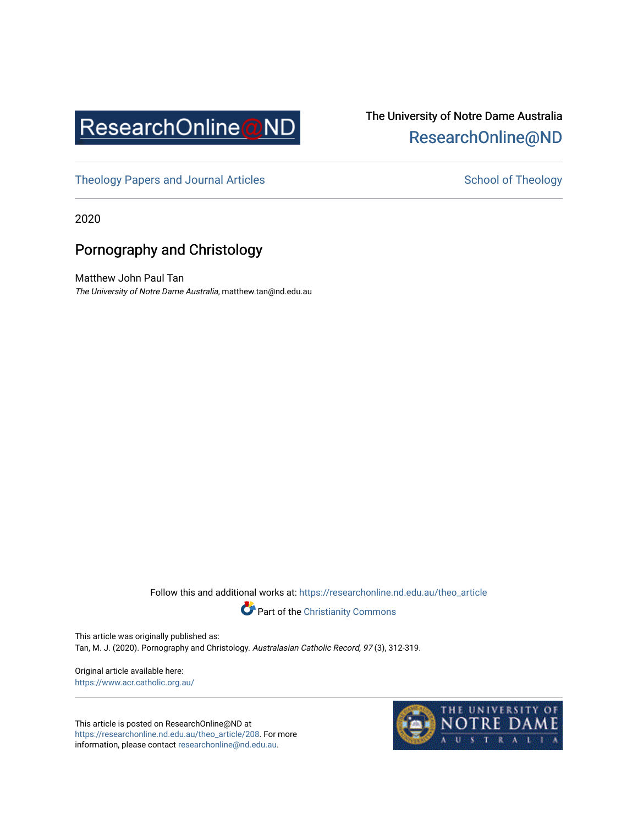

## The University of Notre Dame Australia [ResearchOnline@ND](https://researchonline.nd.edu.au/)

[Theology Papers and Journal Articles](https://researchonline.nd.edu.au/theo_article) and [School of Theology](https://researchonline.nd.edu.au/theo) School of Theology

2020

### Pornography and Christology

Matthew John Paul Tan The University of Notre Dame Australia, matthew.tan@nd.edu.au

Follow this and additional works at: [https://researchonline.nd.edu.au/theo\\_article](https://researchonline.nd.edu.au/theo_article?utm_source=researchonline.nd.edu.au%2Ftheo_article%2F208&utm_medium=PDF&utm_campaign=PDFCoverPages) 



This article was originally published as: Tan, M. J. (2020). Pornography and Christology. Australasian Catholic Record, 97 (3), 312-319.

Original article available here: <https://www.acr.catholic.org.au/>

This article is posted on ResearchOnline@ND at [https://researchonline.nd.edu.au/theo\\_article/208](https://researchonline.nd.edu.au/theo_article/208). For more information, please contact [researchonline@nd.edu.au.](mailto:researchonline@nd.edu.au)

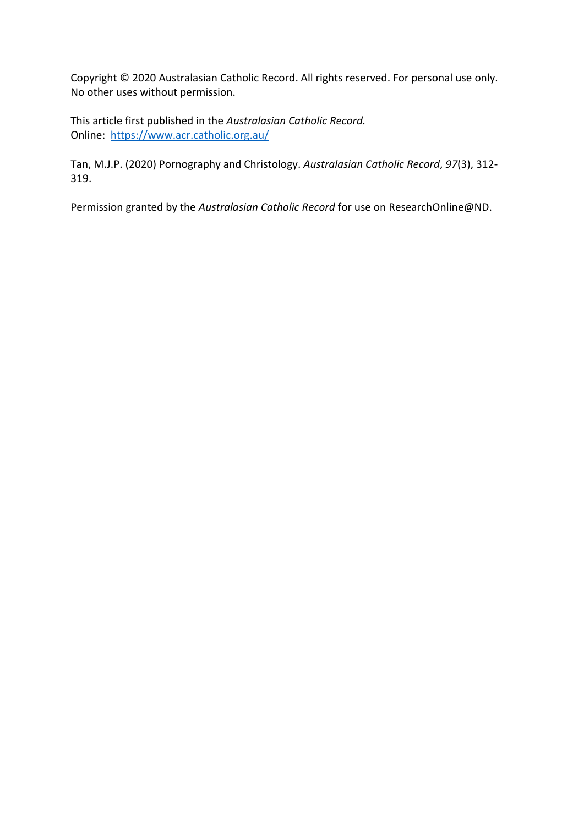Copyright © 2020 Australasian Catholic Record. All rights reserved. For personal use only. No other uses without permission.

This article first published in the *Australasian Catholic Record.* Online: <https://www.acr.catholic.org.au/>

Tan, M.J.P. (2020) Pornography and Christology. *Australasian Catholic Record*, *97*(3), 312- 319.

Permission granted by the *Australasian Catholic Record* for use on ResearchOnline@ND.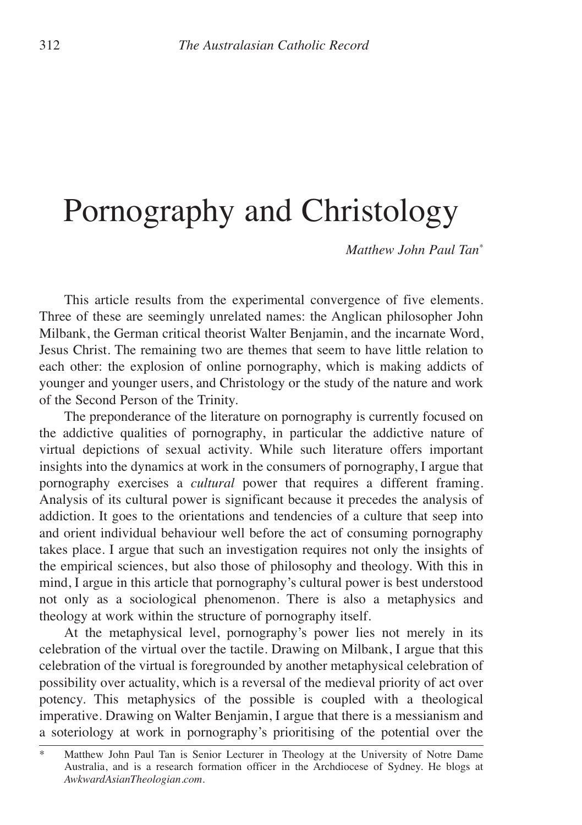# Pornography and Christology

*Matthew John Paul Tan\**

This article results from the experimental convergence of five elements. Three of these are seemingly unrelated names: the Anglican philosopher John Milbank, the German critical theorist Walter Benjamin, and the incarnate Word, Jesus Christ. The remaining two are themes that seem to have little relation to each other: the explosion of online pornography, which is making addicts of younger and younger users, and Christology or the study of the nature and work of the Second Person of the Trinity.

The preponderance of the literature on pornography is currently focused on the addictive qualities of pornography, in particular the addictive nature of virtual depictions of sexual activity. While such literature offers important insights into the dynamics at work in the consumers of pornography, I argue that pornography exercises a *cultural* power that requires a different framing. Analysis of its cultural power is significant because it precedes the analysis of addiction. It goes to the orientations and tendencies of a culture that seep into and orient individual behaviour well before the act of consuming pornography takes place. I argue that such an investigation requires not only the insights of the empirical sciences, but also those of philosophy and theology. With this in mind, I argue in this article that pornography's cultural power is best understood not only as a sociological phenomenon. There is also a metaphysics and theology at work within the structure of pornography itself.

At the metaphysical level, pornography's power lies not merely in its celebration of the virtual over the tactile. Drawing on Milbank, I argue that this celebration of the virtual is foregrounded by another metaphysical celebration of possibility over actuality, which is a reversal of the medieval priority of act over potency. This metaphysics of the possible is coupled with a theological imperative. Drawing on Walter Benjamin, I argue that there is a messianism and a soteriology at work in pornography's prioritising of the potential over the

Matthew John Paul Tan is Senior Lecturer in Theology at the University of Notre Dame Australia, and is a research formation officer in the Archdiocese of Sydney. He blogs at *AwkwardAsianTheologian.com.*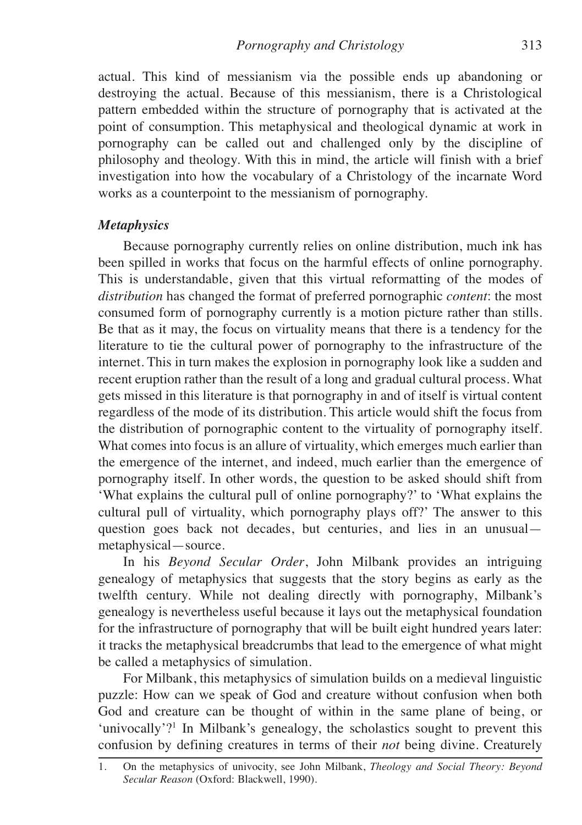actual. This kind of messianism via the possible ends up abandoning or destroying the actual. Because of this messianism, there is a Christological pattern embedded within the structure of pornography that is activated at the point of consumption. This metaphysical and theological dynamic at work in pornography can be called out and challenged only by the discipline of philosophy and theology. With this in mind, the article will finish with a brief investigation into how the vocabulary of a Christology of the incarnate Word works as a counterpoint to the messianism of pornography.

#### *Metaphysics*

Because pornography currently relies on online distribution, much ink has been spilled in works that focus on the harmful effects of online pornography. This is understandable, given that this virtual reformatting of the modes of *distribution* has changed the format of preferred pornographic *content*: the most consumed form of pornography currently is a motion picture rather than stills. Be that as it may, the focus on virtuality means that there is a tendency for the literature to tie the cultural power of pornography to the infrastructure of the internet. This in turn makes the explosion in pornography look like a sudden and recent eruption rather than the result of a long and gradual cultural process. What gets missed in this literature is that pornography in and of itself is virtual content regardless of the mode of its distribution. This article would shift the focus from the distribution of pornographic content to the virtuality of pornography itself. What comes into focus is an allure of virtuality, which emerges much earlier than the emergence of the internet, and indeed, much earlier than the emergence of pornography itself. In other words, the question to be asked should shift from 'What explains the cultural pull of online pornography?' to 'What explains the cultural pull of virtuality, which pornography plays off?' The answer to this question goes back not decades, but centuries, and lies in an unusual metaphysical—source.

In his *Beyond Secular Order*, John Milbank provides an intriguing genealogy of metaphysics that suggests that the story begins as early as the twelfth century. While not dealing directly with pornography, Milbank's genealogy is nevertheless useful because it lays out the metaphysical foundation for the infrastructure of pornography that will be built eight hundred years later: it tracks the metaphysical breadcrumbs that lead to the emergence of what might be called a metaphysics of simulation.

For Milbank, this metaphysics of simulation builds on a medieval linguistic puzzle: How can we speak of God and creature without confusion when both God and creature can be thought of within in the same plane of being, or 'univocally'?1 In Milbank's genealogy, the scholastics sought to prevent this confusion by defining creatures in terms of their *not* being divine. Creaturely

<sup>1.</sup> On the metaphysics of univocity, see John Milbank, *Theology and Social Theory: Beyond Secular Reason* (Oxford: Blackwell, 1990).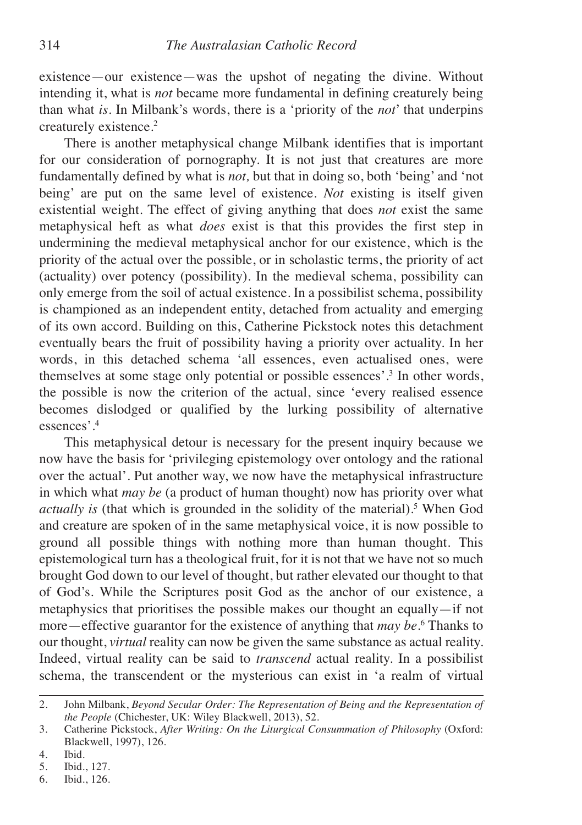existence—our existence—was the upshot of negating the divine. Without intending it, what is *not* became more fundamental in defining creaturely being than what *is.* In Milbank's words, there is a 'priority of the *not*' that underpins creaturely existence. 2

There is another metaphysical change Milbank identifies that is important for our consideration of pornography. It is not just that creatures are more fundamentally defined by what is *not,* but that in doing so, both 'being' and 'not being' are put on the same level of existence. *Not* existing is itself given existential weight. The effect of giving anything that does *not* exist the same metaphysical heft as what *does* exist is that this provides the first step in undermining the medieval metaphysical anchor for our existence, which is the priority of the actual over the possible, or in scholastic terms, the priority of act (actuality) over potency (possibility). In the medieval schema, possibility can only emerge from the soil of actual existence. In a possibilist schema, possibility is championed as an independent entity, detached from actuality and emerging of its own accord. Building on this, Catherine Pickstock notes this detachment eventually bears the fruit of possibility having a priority over actuality. In her words, in this detached schema 'all essences, even actualised ones, were themselves at some stage only potential or possible essences'. <sup>3</sup> In other words, the possible is now the criterion of the actual, since 'every realised essence becomes dislodged or qualified by the lurking possibility of alternative essences'. 4

This metaphysical detour is necessary for the present inquiry because we now have the basis for 'privileging epistemology over ontology and the rational over the actual'. Put another way, we now have the metaphysical infrastructure in which what *may be* (a product of human thought) now has priority over what *actually is* (that which is grounded in the solidity of the material). <sup>5</sup> When God and creature are spoken of in the same metaphysical voice, it is now possible to ground all possible things with nothing more than human thought. This epistemological turn has a theological fruit, for it is not that we have not so much brought God down to our level of thought, but rather elevated our thought to that of God's. While the Scriptures posit God as the anchor of our existence, a metaphysics that prioritises the possible makes our thought an equally—if not more—effective guarantor for the existence of anything that *may be*. <sup>6</sup> Thanks to our thought, *virtual* reality can now be given the same substance as actual reality. Indeed, virtual reality can be said to *transcend* actual reality. In a possibilist schema, the transcendent or the mysterious can exist in 'a realm of virtual

<sup>2.</sup> John Milbank, *Beyond Secular Order: The Representation of Being and the Representation of the People* (Chichester, UK: Wiley Blackwell, 2013), 52.

<sup>3.</sup> Catherine Pickstock, *After Writing: On the Liturgical Consummation of Philosophy* (Oxford: Blackwell, 1997), 126.

<sup>4.</sup> Ibid.

<sup>5.</sup> Ibid., 127.

<sup>6.</sup> Ibid., 126.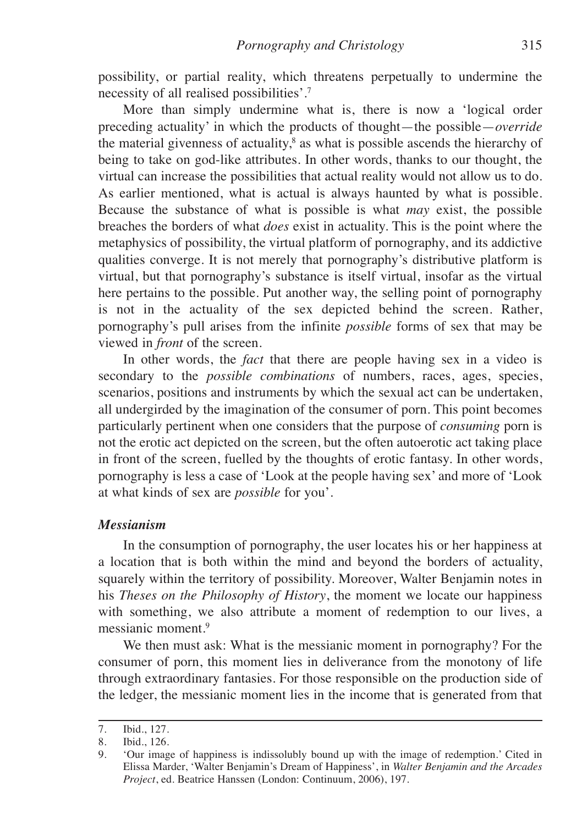possibility, or partial reality, which threatens perpetually to undermine the necessity of all realised possibilities'. 7

More than simply undermine what is, there is now a 'logical order preceding actuality' in which the products of thought—the possible—*override* the material givenness of actuality, <sup>8</sup> as what is possible ascends the hierarchy of being to take on god-like attributes. In other words, thanks to our thought, the virtual can increase the possibilities that actual reality would not allow us to do. As earlier mentioned, what is actual is always haunted by what is possible. Because the substance of what is possible is what *may* exist, the possible breaches the borders of what *does* exist in actuality. This is the point where the metaphysics of possibility, the virtual platform of pornography, and its addictive qualities converge. It is not merely that pornography's distributive platform is virtual, but that pornography's substance is itself virtual, insofar as the virtual here pertains to the possible. Put another way, the selling point of pornography is not in the actuality of the sex depicted behind the screen. Rather, pornography's pull arises from the infinite *possible* forms of sex that may be viewed in *front* of the screen.

In other words, the *fact* that there are people having sex in a video is secondary to the *possible combinations* of numbers, races, ages, species, scenarios, positions and instruments by which the sexual act can be undertaken, all undergirded by the imagination of the consumer of porn. This point becomes particularly pertinent when one considers that the purpose of *consuming* porn is not the erotic act depicted on the screen, but the often autoerotic act taking place in front of the screen, fuelled by the thoughts of erotic fantasy. In other words, pornography is less a case of 'Look at the people having sex' and more of 'Look at what kinds of sex are *possible* for you'.

#### *Messianism*

In the consumption of pornography, the user locates his or her happiness at a location that is both within the mind and beyond the borders of actuality, squarely within the territory of possibility. Moreover, Walter Benjamin notes in his *Theses on the Philosophy of History*, the moment we locate our happiness with something, we also attribute a moment of redemption to our lives, a messianic moment. 9

We then must ask: What is the messianic moment in pornography? For the consumer of porn, this moment lies in deliverance from the monotony of life through extraordinary fantasies. For those responsible on the production side of the ledger, the messianic moment lies in the income that is generated from that

<sup>7.</sup> Ibid., 127.

<sup>8.</sup> Ibid., 126.

<sup>9.</sup> 'Our image of happiness is indissolubly bound up with the image of redemption.' Cited in Elissa Marder, 'Walter Benjamin's Dream of Happiness', in *Walter Benjamin and the Arcades Project*, ed. Beatrice Hanssen (London: Continuum, 2006), 197.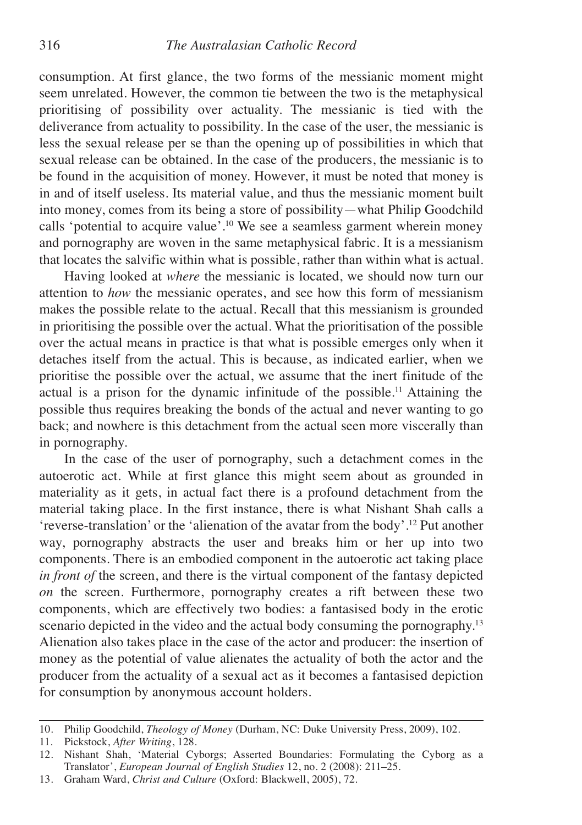consumption. At first glance, the two forms of the messianic moment might seem unrelated. However, the common tie between the two is the metaphysical prioritising of possibility over actuality. The messianic is tied with the deliverance from actuality to possibility. In the case of the user, the messianic is less the sexual release per se than the opening up of possibilities in which that sexual release can be obtained. In the case of the producers, the messianic is to be found in the acquisition of money. However, it must be noted that money is in and of itself useless. Its material value, and thus the messianic moment built into money, comes from its being a store of possibility—what Philip Goodchild calls 'potential to acquire value'. <sup>10</sup> We see a seamless garment wherein money and pornography are woven in the same metaphysical fabric. It is a messianism that locates the salvific within what is possible, rather than within what is actual.

Having looked at *where* the messianic is located, we should now turn our attention to *how* the messianic operates, and see how this form of messianism makes the possible relate to the actual. Recall that this messianism is grounded in prioritising the possible over the actual. What the prioritisation of the possible over the actual means in practice is that what is possible emerges only when it detaches itself from the actual. This is because, as indicated earlier, when we prioritise the possible over the actual, we assume that the inert finitude of the actual is a prison for the dynamic infinitude of the possible. <sup>11</sup> Attaining the possible thus requires breaking the bonds of the actual and never wanting to go back; and nowhere is this detachment from the actual seen more viscerally than in pornography.

In the case of the user of pornography, such a detachment comes in the autoerotic act. While at first glance this might seem about as grounded in materiality as it gets, in actual fact there is a profound detachment from the material taking place. In the first instance, there is what Nishant Shah calls a 'reverse-translation' or the 'alienation of the avatar from the body'. <sup>12</sup> Put another way, pornography abstracts the user and breaks him or her up into two components. There is an embodied component in the autoerotic act taking place *in front of* the screen, and there is the virtual component of the fantasy depicted *on* the screen. Furthermore, pornography creates a rift between these two components, which are effectively two bodies: a fantasised body in the erotic scenario depicted in the video and the actual body consuming the pornography.<sup>13</sup> Alienation also takes place in the case of the actor and producer: the insertion of money as the potential of value alienates the actuality of both the actor and the producer from the actuality of a sexual act as it becomes a fantasised depiction for consumption by anonymous account holders.

<sup>10.</sup> Philip Goodchild, *Theology of Money* (Durham, NC: Duke University Press, 2009), 102.

<sup>11.</sup> Pickstock, *After Writing*, 128.

<sup>12.</sup> Nishant Shah, 'Material Cyborgs; Asserted Boundaries: Formulating the Cyborg as a Translator', *European Journal of English Studies* 12, no. 2 (2008): 211–25.

<sup>13.</sup> Graham Ward, *Christ and Culture* (Oxford: Blackwell, 2005), 72.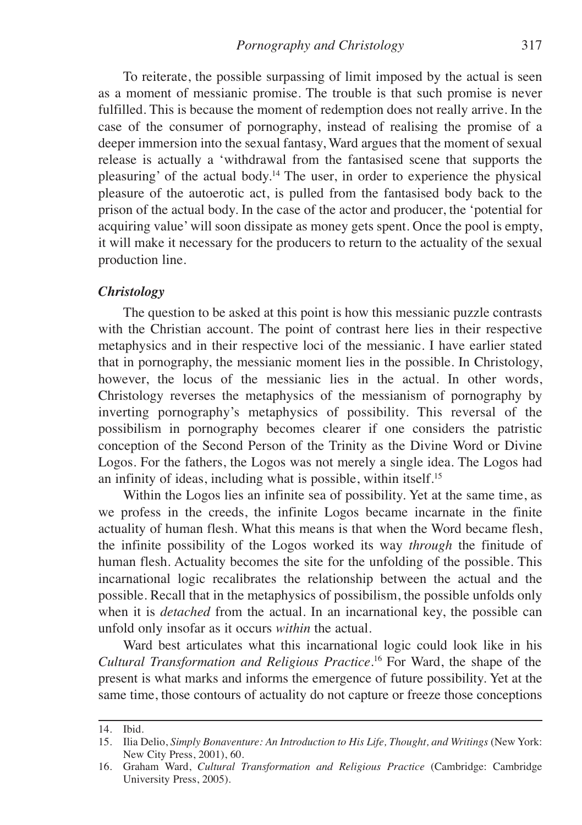To reiterate, the possible surpassing of limit imposed by the actual is seen as a moment of messianic promise. The trouble is that such promise is never fulfilled. This is because the moment of redemption does not really arrive. In the case of the consumer of pornography, instead of realising the promise of a deeper immersion into the sexual fantasy, Ward argues that the moment of sexual release is actually a 'withdrawal from the fantasised scene that supports the pleasuring' of the actual body. <sup>14</sup> The user, in order to experience the physical pleasure of the autoerotic act, is pulled from the fantasised body back to the prison of the actual body. In the case of the actor and producer, the 'potential for acquiring value' will soon dissipate as money gets spent. Once the pool is empty, it will make it necessary for the producers to return to the actuality of the sexual production line.

#### *Christology*

The question to be asked at this point is how this messianic puzzle contrasts with the Christian account. The point of contrast here lies in their respective metaphysics and in their respective loci of the messianic. I have earlier stated that in pornography, the messianic moment lies in the possible. In Christology, however, the locus of the messianic lies in the actual. In other words, Christology reverses the metaphysics of the messianism of pornography by inverting pornography's metaphysics of possibility. This reversal of the possibilism in pornography becomes clearer if one considers the patristic conception of the Second Person of the Trinity as the Divine Word or Divine Logos. For the fathers, the Logos was not merely a single idea. The Logos had an infinity of ideas, including what is possible, within itself. 15

Within the Logos lies an infinite sea of possibility. Yet at the same time, as we profess in the creeds, the infinite Logos became incarnate in the finite actuality of human flesh. What this means is that when the Word became flesh, the infinite possibility of the Logos worked its way *through* the finitude of human flesh. Actuality becomes the site for the unfolding of the possible. This incarnational logic recalibrates the relationship between the actual and the possible. Recall that in the metaphysics of possibilism, the possible unfolds only when it is *detached* from the actual. In an incarnational key, the possible can unfold only insofar as it occurs *within* the actual.

Ward best articulates what this incarnational logic could look like in his *Cultural Transformation and Religious Practice.* <sup>16</sup> For Ward, the shape of the present is what marks and informs the emergence of future possibility. Yet at the same time, those contours of actuality do not capture or freeze those conceptions

<sup>14.</sup> Ibid.

<sup>15.</sup> Ilia Delio, *Simply Bonaventure: An Introduction to His Life, Thought, and Writings* (New York: New City Press, 2001), 60.

<sup>16.</sup> Graham Ward, *Cultural Transformation and Religious Practice* (Cambridge: Cambridge University Press, 2005).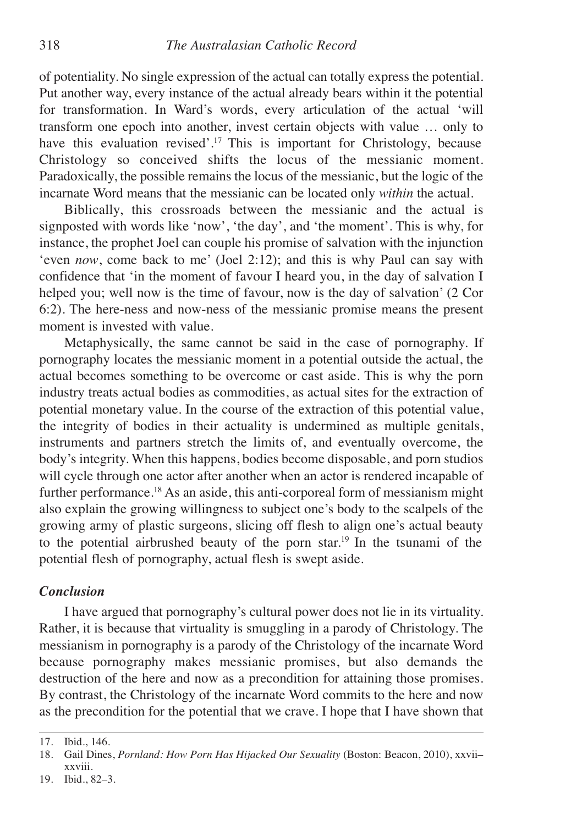of potentiality. No single expression of the actual can totally express the potential. Put another way, every instance of the actual already bears within it the potential for transformation. In Ward's words, every articulation of the actual 'will transform one epoch into another, invest certain objects with value … only to have this evaluation revised'.<sup>17</sup> This is important for Christology, because Christology so conceived shifts the locus of the messianic moment. Paradoxically, the possible remains the locus of the messianic, but the logic of the incarnate Word means that the messianic can be located only *within* the actual.

Biblically, this crossroads between the messianic and the actual is signposted with words like 'now', 'the day', and 'the moment'. This is why, for instance, the prophet Joel can couple his promise of salvation with the injunction 'even *now*, come back to me' (Joel 2:12); and this is why Paul can say with confidence that 'in the moment of favour I heard you, in the day of salvation I helped you; well now is the time of favour, now is the day of salvation' (2 Cor 6:2). The here-ness and now-ness of the messianic promise means the present moment is invested with value.

Metaphysically, the same cannot be said in the case of pornography. If pornography locates the messianic moment in a potential outside the actual, the actual becomes something to be overcome or cast aside. This is why the porn industry treats actual bodies as commodities, as actual sites for the extraction of potential monetary value. In the course of the extraction of this potential value, the integrity of bodies in their actuality is undermined as multiple genitals, instruments and partners stretch the limits of, and eventually overcome, the body's integrity. When this happens, bodies become disposable, and porn studios will cycle through one actor after another when an actor is rendered incapable of further performance. <sup>18</sup> As an aside, this anti-corporeal form of messianism might also explain the growing willingness to subject one's body to the scalpels of the growing army of plastic surgeons, slicing off flesh to align one's actual beauty to the potential airbrushed beauty of the porn star. <sup>19</sup> In the tsunami of the potential flesh of pornography, actual flesh is swept aside.

#### *Conclusion*

I have argued that pornography's cultural power does not lie in its virtuality. Rather, it is because that virtuality is smuggling in a parody of Christology. The messianism in pornography is a parody of the Christology of the incarnate Word because pornography makes messianic promises, but also demands the destruction of the here and now as a precondition for attaining those promises. By contrast, the Christology of the incarnate Word commits to the here and now as the precondition for the potential that we crave. I hope that I have shown that

<sup>17.</sup> Ibid., 146.

<sup>18.</sup> Gail Dines, *Pornland: How Porn Has Hijacked Our Sexuality* (Boston: Beacon, 2010), xxvii– xxviii.

<sup>19.</sup> Ibid., 82–3.